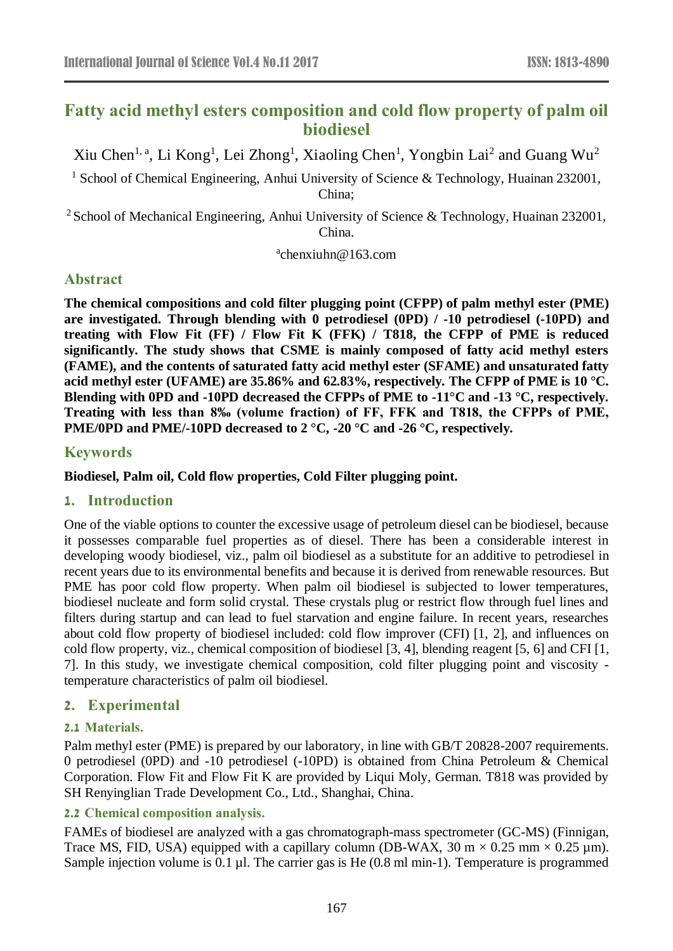# **Fatty acid methyl esters composition and cold flow property of palm oil biodiesel**

Xiu Chen<sup>1, a</sup>, Li Kong<sup>1</sup>, Lei Zhong<sup>1</sup>, Xiaoling Chen<sup>1</sup>, Yongbin Lai<sup>2</sup> and Guang Wu<sup>2</sup>

<sup>1</sup> School of Chemical Engineering, Anhui University of Science & Technology, Huainan 232001, China;

<sup>2</sup> School of Mechanical Engineering, Anhui University of Science & Technology, Huainan 232001, China.

a chenxiuhn@163.com

## **Abstract**

**The chemical compositions and cold filter plugging point (CFPP) of palm methyl ester (PME) are investigated. Through blending with 0 petrodiesel (0PD) / -10 petrodiesel (-10PD) and treating with Flow Fit (FF) / Flow Fit K (FFK) / T818, the CFPP of PME is reduced significantly. The study shows that CSME is mainly composed of fatty acid methyl esters (FAME), and the contents of saturated fatty acid methyl ester (SFAME) and unsaturated fatty acid methyl ester (UFAME) are 35.86% and 62.83%, respectively. The CFPP of PME is 10 °C. Blending with 0PD and -10PD decreased the CFPPs of PME to -11°C and -13 °C, respectively. Treating with less than 8‰ (volume fraction) of FF, FFK and T818, the CFPPs of PME, PME/0PD and PME/-10PD decreased to 2 °C, -20 °C and -26 °C, respectively.**

## **Keywords**

**Biodiesel, Palm oil, Cold flow properties, Cold Filter plugging point.**

### **1. Introduction**

One of the viable options to counter the excessive usage of petroleum diesel can be biodiesel, because it possesses comparable fuel properties as of diesel. There has been a considerable interest in developing woody biodiesel, viz., palm oil biodiesel as a substitute for an additive to petrodiesel in recent years due to its environmental benefits and because it is derived from renewable resources. But PME has poor cold flow property. When palm oil biodiesel is subjected to lower temperatures, biodiesel nucleate and form solid crystal. These crystals plug or restrict flow through fuel lines and filters during startup and can lead to fuel starvation and engine failure. In recent years, researches about cold flow property of biodiesel included: cold flow improver (CFI) [1, 2], and influences on cold flow property, viz., chemical composition of biodiesel [3, 4], blending reagent [5, 6] and CFI [1, 7]. In this study, we investigate chemical composition, cold filter plugging point and viscosity temperature characteristics of palm oil biodiesel.

## **2. Experimental**

### **2.1 Materials.**

Palm methyl ester (PME) is prepared by our laboratory, in line with GB/T 20828-2007 requirements. 0 petrodiesel (0PD) and -10 petrodiesel (-10PD) is obtained from China Petroleum & Chemical Corporation. Flow Fit and Flow Fit K are provided by Liqui Moly, German. T818 was provided by SH Renyinglian Trade Development Co., Ltd., Shanghai, China.

### **2.2 Chemical composition analysis.**

FAMEs of biodiesel are analyzed with a gas chromatograph-mass spectrometer (GC-MS) (Finnigan, Trace MS, FID, USA) equipped with a capillary column (DB-WAX,  $30 \text{ m} \times 0.25 \text{ mm} \times 0.25 \text{ µm}$ ). Sample injection volume is 0.1 µl. The carrier gas is He (0.8 ml min-1). Temperature is programmed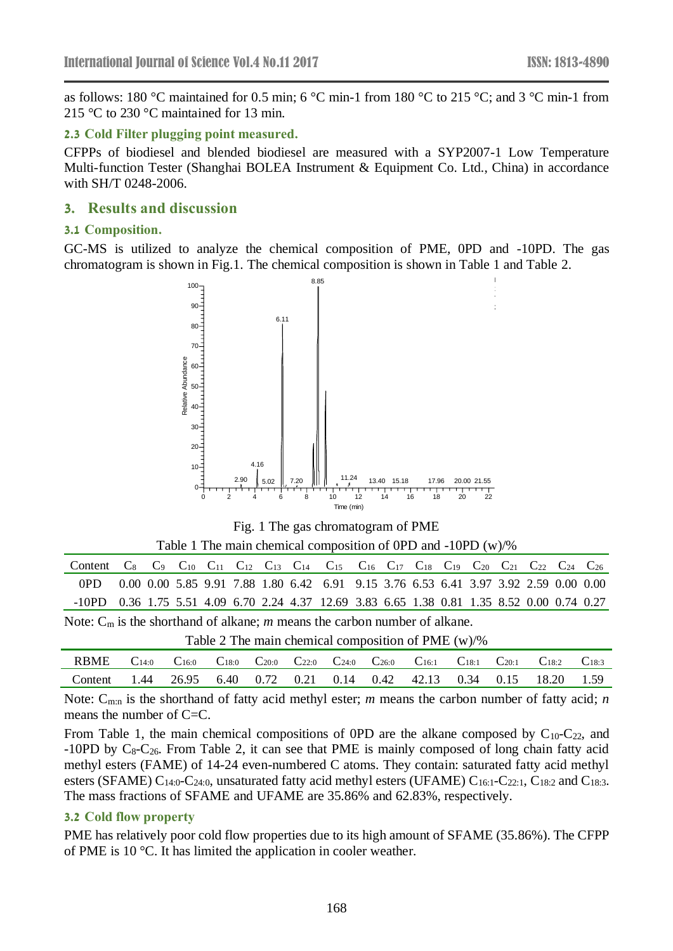as follows: 180 °C maintained for 0.5 min; 6 °C min-1 from 180 °C to 215 °C; and 3 °C min-1 from 215 °C to 230 °C maintained for 13 min.

#### **2.3 Cold Filter plugging point measured.**

CFPPs of biodiesel and blended biodiesel are measured with a SYP2007-1 Low Temperature Multi-function Tester (Shanghai BOLEA Instrument & Equipment Co. Ltd., China) in accordance with SH/T 0248-2006.

#### **3. Results and discussion**

#### **3.1 Composition.**

GC-MS is utilized to analyze the chemical composition of PME, 0PD and -10PD. The gas chromatogram is shown in Fig.1. The chemical composition is shown in Table 1 and Table 2.



Fig. 1 The gas chromatogram of PME

|  |  |  | Table 1 The main chemical composition of 0PD and $-10PD$ (w)/% |  |  |  |
|--|--|--|----------------------------------------------------------------|--|--|--|
|--|--|--|----------------------------------------------------------------|--|--|--|

| Content C <sub>8</sub> C <sub>9</sub> C <sub>10</sub> C <sub>11</sub> C <sub>12</sub> C <sub>13</sub> C <sub>14</sub> C <sub>15</sub> C <sub>16</sub> C <sub>17</sub> C <sub>18</sub> C <sub>19</sub> C <sub>20</sub> C <sub>21</sub> C <sub>22</sub> C <sub>24</sub> C <sub>26</sub> |  |  |  |  |  |  |  |                                                                                      |  |  |  |  |  |  |  |
|---------------------------------------------------------------------------------------------------------------------------------------------------------------------------------------------------------------------------------------------------------------------------------------|--|--|--|--|--|--|--|--------------------------------------------------------------------------------------|--|--|--|--|--|--|--|
| 0PD -                                                                                                                                                                                                                                                                                 |  |  |  |  |  |  |  | 0.00 0.00 5.85 9.91 7.88 1.80 6.42 6.91 9.15 3.76 6.53 6.41 3.97 3.92 2.59 0.00 0.00 |  |  |  |  |  |  |  |
| -10PD 0.36 1.75 5.51 4.09 6.70 2.24 4.37 12.69 3.83 6.65 1.38 0.81 1.35 8.52 0.00 0.74 0.27                                                                                                                                                                                           |  |  |  |  |  |  |  |                                                                                      |  |  |  |  |  |  |  |
| Note: $C_m$ is the shorthand of alkane; m means the carbon number of alkane.                                                                                                                                                                                                          |  |  |  |  |  |  |  |                                                                                      |  |  |  |  |  |  |  |

| Table 2 The main chemical composition of PME (w)/% |  |  |
|----------------------------------------------------|--|--|

| RBME<br>$C_{14:0}$ $C_{16:0}$ $C_{18:0}$ $C_{20:0}$ $C_{22:0}$ $C_{24:0}$ $C_{26:0}$ $C_{16:1}$ $C_{18:1}$ $C_{20:1}$ $C_{18:2}$ $C_{18:3}$<br>1.44 26.95 6.40 0.72 0.21 0.14 0.42 42.13 0.34 0.15 18.20 1.59<br>Content |  |  |  |  |  |  |  |  |  |  |  |
|--------------------------------------------------------------------------------------------------------------------------------------------------------------------------------------------------------------------------|--|--|--|--|--|--|--|--|--|--|--|
|                                                                                                                                                                                                                          |  |  |  |  |  |  |  |  |  |  |  |
|                                                                                                                                                                                                                          |  |  |  |  |  |  |  |  |  |  |  |

Note: C<sub>m:n</sub> is the shorthand of fatty acid methyl ester; *m* means the carbon number of fatty acid; *n* means the number of  $C=C$ .

From Table 1, the main chemical compositions of OPD are the alkane composed by  $C_{10}$ - $C_{22}$ , and -10PD by  $C_8$ - $C_{26}$ . From Table 2, it can see that PME is mainly composed of long chain fatty acid methyl esters (FAME) of 14-24 even-numbered C atoms. They contain: saturated fatty acid methyl esters (SFAME)  $C_{14:0}$ -C<sub>24:0</sub>, unsaturated fatty acid methyl esters (UFAME)  $C_{16:1}$ -C<sub>22:1</sub>, C<sub>18:2</sub> and C<sub>18:3</sub>. The mass fractions of SFAME and UFAME are 35.86% and 62.83%, respectively.

#### **3.2 Cold flow property**

PME has relatively poor cold flow properties due to its high amount of SFAME (35.86%). The CFPP of PME is 10 °C. It has limited the application in cooler weather.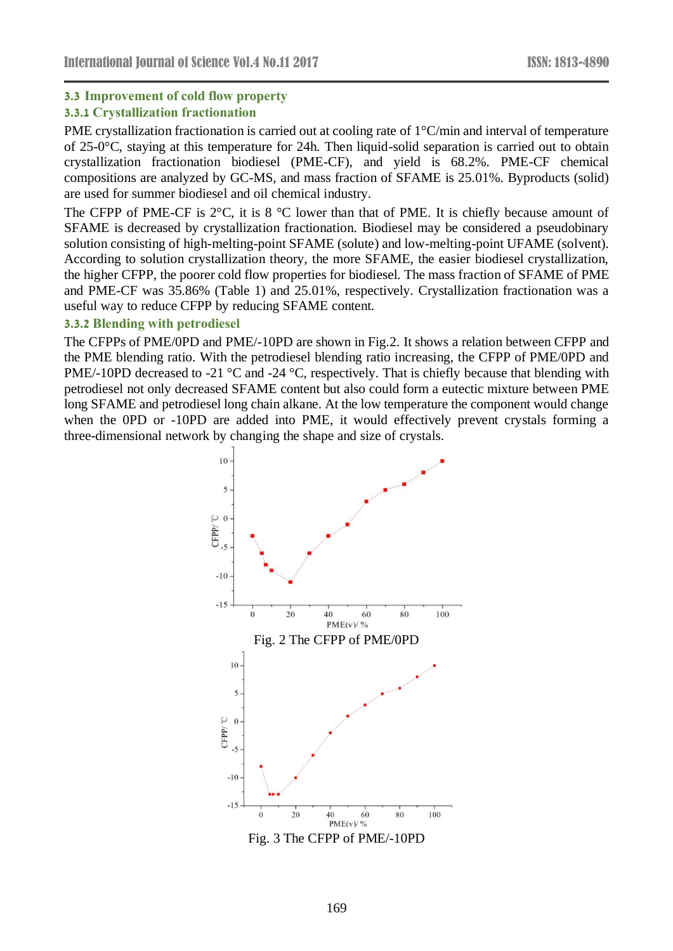### **3.3 Improvement of cold flow property**

### **3.3.1 Crystallization fractionation**

PME crystallization fractionation is carried out at cooling rate of 1°C/min and interval of temperature of 25-0°C, staying at this temperature for 24h. Then liquid-solid separation is carried out to obtain crystallization fractionation biodiesel (PME-CF), and yield is 68.2%. PME-CF chemical compositions are analyzed by GC-MS, and mass fraction of SFAME is 25.01%. Byproducts (solid) are used for summer biodiesel and oil chemical industry.

The CFPP of PME-CF is  $2^{\circ}$ C, it is 8  $^{\circ}$ C lower than that of PME. It is chiefly because amount of SFAME is decreased by crystallization fractionation. Biodiesel may be considered a pseudobinary solution consisting of high-melting-point SFAME (solute) and low-melting-point UFAME (solvent). According to solution crystallization theory, the more SFAME, the easier biodiesel crystallization, the higher CFPP, the poorer cold flow properties for biodiesel. The mass fraction of SFAME of PME and PME-CF was 35.86% (Table 1) and 25.01%, respectively. Crystallization fractionation was a useful way to reduce CFPP by reducing SFAME content.

#### **3.3.2 Blending with petrodiesel**

The CFPPs of PME/0PD and PME/-10PD are shown in Fig.2. It shows a relation between CFPP and the PME blending ratio. With the petrodiesel blending ratio increasing, the CFPP of PME/0PD and PME/-10PD decreased to -21 °C and -24 °C, respectively. That is chiefly because that blending with petrodiesel not only decreased SFAME content but also could form a eutectic mixture between PME long SFAME and petrodiesel long chain alkane. At the low temperature the component would change when the 0PD or -10PD are added into PME, it would effectively prevent crystals forming a three-dimensional network by changing the shape and size of crystals.



Fig. 3 The CFPP of PME/-10PD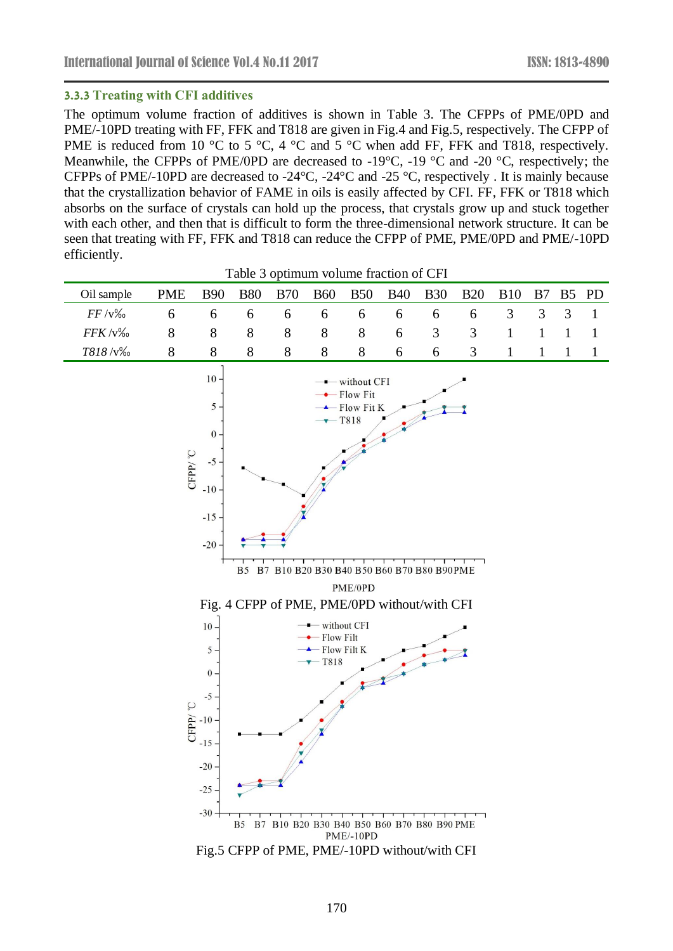#### **3.3.3 Treating with CFI additives**

The optimum volume fraction of additives is shown in Table 3. The CFPPs of PME/0PD and PME/-10PD treating with FF, FFK and T818 are given in Fig.4 and Fig.5, respectively. The CFPP of PME is reduced from 10 °C to 5 °C, 4 °C and 5 °C when add FF, FFK and T818, respectively. Meanwhile, the CFPPs of PME/0PD are decreased to -19 $^{\circ}$ C, -19 $^{\circ}$ C and -20 $^{\circ}$ C, respectively; the CFPPs of PME/-10PD are decreased to -24°C, -24°C and -25 °C, respectively . It is mainly because that the crystallization behavior of FAME in oils is easily affected by CFI. FF, FFK or T818 which absorbs on the surface of crystals can hold up the process, that crystals grow up and stuck together with each other, and then that is difficult to form the three-dimensional network structure. It can be seen that treating with FF, FFK and T818 can reduce the CFPP of PME, PME/0PD and PME/-10PD efficiently.

Table 3 optimum volume fraction of CFI

| Oil sample                                                                                                                                                                                                                                                                                                                        | <b>PME</b><br><b>B90</b><br><b>B80</b><br><b>B70</b><br><b>B60</b><br><b>B50</b><br><b>B40</b><br><b>B30</b><br><b>B20</b>                                                                                                 |   |   |       |   |       |   |   |   |                |              | B <sub>5</sub> | <b>PD</b>    |
|-----------------------------------------------------------------------------------------------------------------------------------------------------------------------------------------------------------------------------------------------------------------------------------------------------------------------------------|----------------------------------------------------------------------------------------------------------------------------------------------------------------------------------------------------------------------------|---|---|-------|---|-------|---|---|---|----------------|--------------|----------------|--------------|
| $FF/v\%$                                                                                                                                                                                                                                                                                                                          | 6                                                                                                                                                                                                                          | 6 | 6 | 6     | 6 | 6     | 6 | 6 | 6 | $\overline{3}$ | 3            | 3              | $\mathbf{1}$ |
| $FFK/\sqrt{v}$                                                                                                                                                                                                                                                                                                                    | 8                                                                                                                                                                                                                          | 8 | 8 | $8\,$ | 8 | $8\,$ | 6 | 3 | 3 | $\mathbf{1}$   | $\mathbf{1}$ | $\mathbf{1}$   | $\mathbf{1}$ |
| T818/v%                                                                                                                                                                                                                                                                                                                           | 8                                                                                                                                                                                                                          | 8 | 8 | 8     | 8 | 8     | 6 | 6 | 3 | $\mathbf{1}$   | $\mathbf{1}$ | $\mathbf{1}$   | $\mathbf{1}$ |
|                                                                                                                                                                                                                                                                                                                                   | $10\,$<br>- without CFI<br>- Flow Fit<br>5<br>- Flow Fit K<br>T818<br>$\boldsymbol{0}$<br>CFP <sub>V</sub> °C<br>$-5$<br>$-10$<br>$-15$<br>$-20$<br>B7 B10 B20 B30 B40 B50 B60 B70 B80 B90PME<br>B <sub>5</sub><br>PME/0PD |   |   |       |   |       |   |   |   |                |              |                |              |
| Fig. 4 CFPP of PME, PME/0PD without/with CFI<br>$\blacksquare$ without CFI<br>$10 -$<br>$\bullet$ Flow Filt<br>$\triangle$ Flow Filt K<br>5<br>$\overline{Y}$ T818<br>$\boldsymbol{0}$<br>$-5$<br>CFPP <sup></sup> °C<br>$-10$<br>$-15$<br>$-20$<br>$-25$<br>$-30-$<br>B5 B7 B10 B20 B30 B40 B50 B60 B70 B80 B90 PME<br>PME/-10PD |                                                                                                                                                                                                                            |   |   |       |   |       |   |   |   |                |              |                |              |

Fig.5 CFPP of PME, PME/-10PD without/with CFI